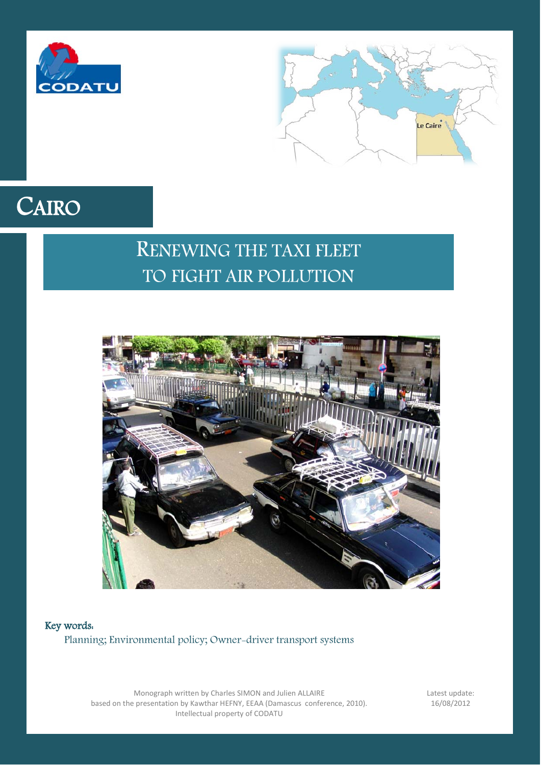



# CAIRO

# RENEWING THE TAXI FLEET TO FIGHT AIR POLLUTION



Key words: Planning; Environmental policy; Owner-driver transport systems

> Monograph written by Charles SIMON and Julien ALLAIRE based on the presentation by Kawthar HEFNY, EEAA (Damascus conference, 2010). Intellectual property of CODATU

Latest update: 16/08/2012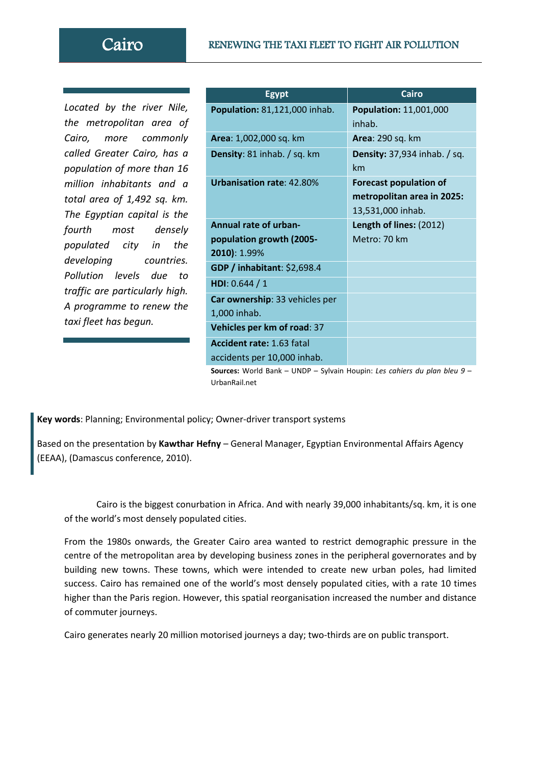## Cairo RENEWING THE TAXI FLEET TO FIGHT AIR POLLUTION

*Located by the river Nile, the metropolitan area of Cairo, more commonly called Greater Cairo, has a population of more than 16 million inhabitants and a total area of 1,492 sq. km. The Egyptian capital is the fourth most densely populated city in the developing countries. Pollution levels due to traffic are particularly high. A programme to renew the taxi fleet has begun.*

| <b>Egypt</b>                                                                        | <b>Cairo</b>                        |
|-------------------------------------------------------------------------------------|-------------------------------------|
| Population: 81,121,000 inhab.                                                       | <b>Population: 11,001,000</b>       |
|                                                                                     | inhab.                              |
| Area: 1,002,000 sq. km                                                              | <b>Area: 290 sq. km</b>             |
| Density: 81 inhab. / sq. km                                                         | <b>Density:</b> 37,934 inhab. / sq. |
|                                                                                     | km                                  |
| <b>Urbanisation rate: 42.80%</b>                                                    | <b>Forecast population of</b>       |
|                                                                                     | metropolitan area in 2025:          |
|                                                                                     | 13,531,000 inhab.                   |
| <b>Annual rate of urban-</b>                                                        | Length of lines: (2012)             |
| population growth (2005-                                                            | Metro: 70 km                        |
| 2010): 1.99%                                                                        |                                     |
| GDP / inhabitant: \$2,698.4                                                         |                                     |
| HDI: $0.644 / 1$                                                                    |                                     |
| Car ownership: 33 vehicles per                                                      |                                     |
| 1,000 inhab.                                                                        |                                     |
| Vehicles per km of road: 37                                                         |                                     |
| <b>Accident rate: 1.63 fatal</b>                                                    |                                     |
| accidents per 10,000 inhab.                                                         |                                     |
| <b>Courses:</b> World Raph $=$ UNDR $=$ Sulvain Hounin; Les sabiers du plan blou Q. |                                     |

**s:** World Bank – UNDP – Sylvain Houpin: *Les cahiers du plan bleu 9* UrbanRail.net

**Key words**: Planning; Environmental policy; Owner-driver transport systems

Based on the presentation by **Kawthar Hefny** – General Manager, Egyptian Environmental Affairs Agency (EEAA), (Damascus conference, 2010).

Cairo is the biggest conurbation in Africa. And with nearly 39,000 inhabitants/sq. km, it is one of the world's most densely populated cities.

From the 1980s onwards, the Greater Cairo area wanted to restrict demographic pressure in the centre of the metropolitan area by developing business zones in the peripheral governorates and by building new towns. These towns, which were intended to create new urban poles, had limited success. Cairo has remained one of the world's most densely populated cities, with a rate 10 times higher than the Paris region. However, this spatial reorganisation increased the number and distance of commuter journeys.

Cairo generates nearly 20 million motorised journeys a day; two-thirds are on public transport.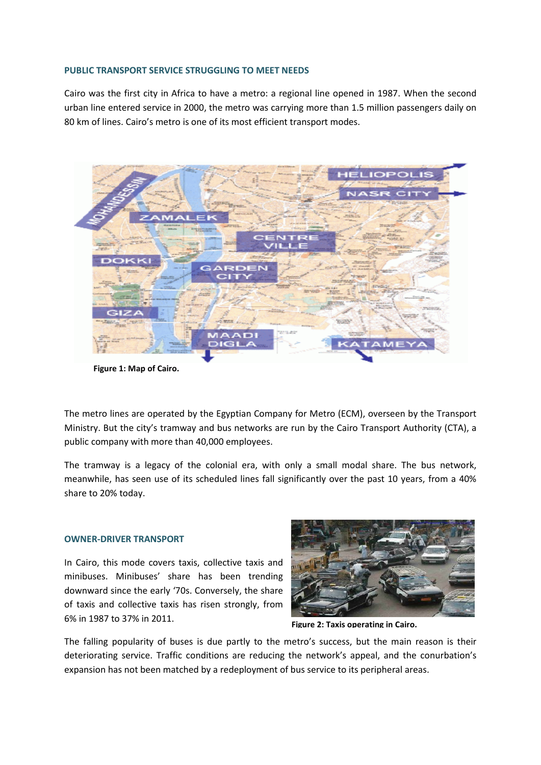#### **PUBLIC TRANSPORT SERVICE STRUGGLING TO MEET NEEDS**

Cairo was the first city in Africa to have a metro: a regional line opened in 1987. When the second urban line entered service in 2000, the metro was carrying more than 1.5 million passengers daily on 80 km of lines. Cairo's metro is one of its most efficient transport modes.



**Figure 1: Map of Cairo.**

The metro lines are operated by the Egyptian Company for Metro (ECM), overseen by the Transport Ministry. But the city's tramway and bus networks are run by the Cairo Transport Authority (CTA), a public company with more than 40,000 employees.

The tramway is a legacy of the colonial era, with only a small modal share. The bus network, meanwhile, has seen use of its scheduled lines fall significantly over the past 10 years, from a 40% share to 20% today.

#### **OWNER-DRIVER TRANSPORT**

In Cairo, this mode covers taxis, collective taxis and minibuses. Minibuses' share has been trending downward since the early '70s. Conversely, the share of taxis and collective taxis has risen strongly, from 6% in 1987 to 37% in 2011.



**Figure 2: Taxis operating in Cairo.**

The falling popularity of buses is due partly to the metro's success, but the main reason is their deteriorating service. Traffic conditions are reducing the network's appeal, and the conurbation's expansion has not been matched by a redeployment of bus service to its peripheral areas.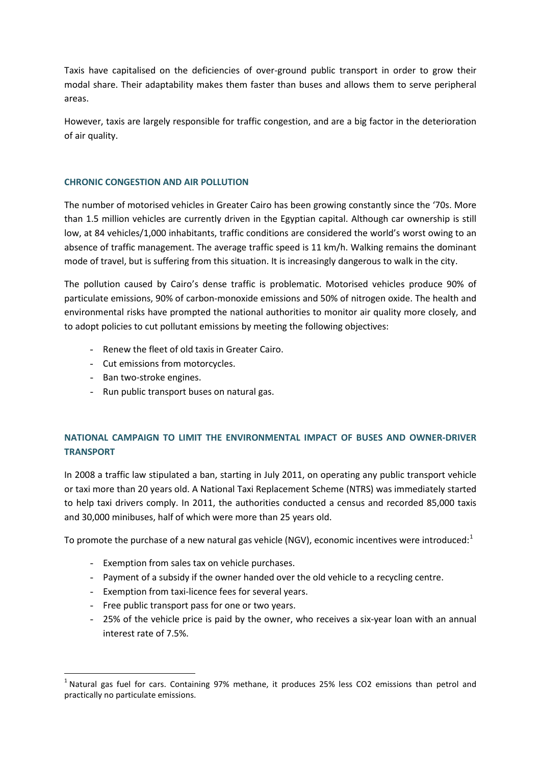Taxis have capitalised on the deficiencies of over-ground public transport in order to grow their modal share. Their adaptability makes them faster than buses and allows them to serve peripheral areas.

However, taxis are largely responsible for traffic congestion, and are a big factor in the deterioration of air quality.

### **CHRONIC CONGESTION AND AIR POLLUTION**

The number of motorised vehicles in Greater Cairo has been growing constantly since the '70s. More than 1.5 million vehicles are currently driven in the Egyptian capital. Although car ownership is still low, at 84 vehicles/1,000 inhabitants, traffic conditions are considered the world's worst owing to an absence of traffic management. The average traffic speed is 11 km/h. Walking remains the dominant mode of travel, but is suffering from this situation. It is increasingly dangerous to walk in the city.

The pollution caused by Cairo's dense traffic is problematic. Motorised vehicles produce 90% of particulate emissions, 90% of carbon-monoxide emissions and 50% of nitrogen oxide. The health and environmental risks have prompted the national authorities to monitor air quality more closely, and to adopt policies to cut pollutant emissions by meeting the following objectives:

- Renew the fleet of old taxis in Greater Cairo.
- Cut emissions from motorcycles.
- Ban two-stroke engines.
- Run public transport buses on natural gas.

# **NATIONAL CAMPAIGN TO LIMIT THE ENVIRONMENTAL IMPACT OF BUSES AND OWNER-DRIVER TRANSPORT**

In 2008 a traffic law stipulated a ban, starting in July 2011, on operating any public transport vehicle or taxi more than 20 years old. A National Taxi Replacement Scheme (NTRS) was immediately started to help taxi drivers comply. In 2011, the authorities conducted a census and recorded 85,000 taxis and 30,000 minibuses, half of which were more than 25 years old.

To promote the purchase of a new natural gas vehicle (NGV), economic incentives were introduced: $1$ 

- Exemption from sales tax on vehicle purchases.
- Payment of a subsidy if the owner handed over the old vehicle to a recycling centre.
- Exemption from taxi-licence fees for several years.
- Free public transport pass for one or two years.
- 25% of the vehicle price is paid by the owner, who receives a six-year loan with an annual interest rate of 7.5%.

<span id="page-3-0"></span><sup>&</sup>lt;sup>1</sup> Natural gas fuel for cars. Containing 97% methane, it produces 25% less CO2 emissions than petrol and practically no particulate emissions.